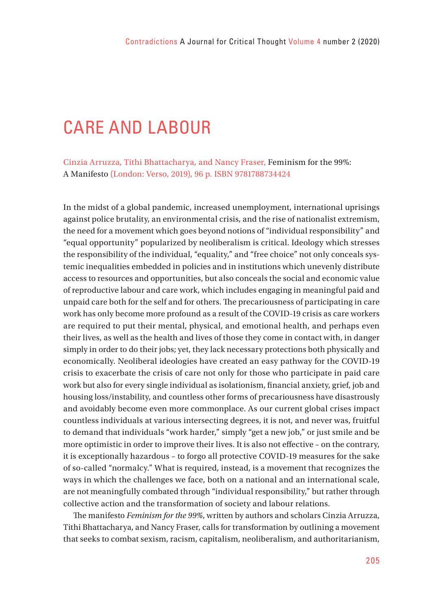## CARE AND LABOUR

Cinzia Arruzza, Tithi Bhattacharya, and Nancy Fraser, Feminism for the 99%: A Manifesto (London: Verso, 2019), 96 p. ISBN 9781788734424

In the midst of a global pandemic, increased unemployment, international uprisings against police brutality, an environmental crisis, and the rise of nationalist extremism, the need for a movement which goes beyond notions of "individual responsibility" and "equal opportunity" popularized by neoliberalism is critical. Ideology which stresses the responsibility of the individual, "equality," and "free choice" not only conceals systemic inequalities embedded in policies and in institutions which unevenly distribute access to resources and opportunities, but also conceals the social and economic value of reproductive labour and care work, which includes engaging in meaningful paid and unpaid care both for the self and for others. The precariousness of participating in care work has only become more profound as a result of the COVID-19 crisis as care workers are required to put their mental, physical, and emotional health, and perhaps even their lives, as well as the health and lives of those they come in contact with, in danger simply in order to do their jobs; yet, they lack necessary protections both physically and economically. Neoliberal ideologies have created an easy pathway for the COVID-19 crisis to exacerbate the crisis of care not only for those who participate in paid care work but also for every single individual as isolationism, financial anxiety, grief, job and housing loss/instability, and countless other forms of precariousness have disastrously and avoidably become even more commonplace. As our current global crises impact countless individuals at various intersecting degrees, it is not, and never was, fruitful to demand that individuals "work harder," simply "get a new job," or just smile and be more optimistic in order to improve their lives. It is also not effective - on the contrary, it is exceptionally hazardous – to forgo all protective COVID-19 measures for the sake of so-called "normalcy." What is required, instead, is a movement that recognizes the ways in which the challenges we face, both on a national and an international scale, are not meaningfully combated through "individual responsibility," but rather through collective action and the transformation of society and labour relations.

The manifesto *Feminism for the 99%*, written by authors and scholars Cinzia Arruzza, Tithi Bhattacharya, and Nancy Fraser, calls for transformation by outlining a movement that seeks to combat sexism, racism, capitalism, neoliberalism, and authoritarianism,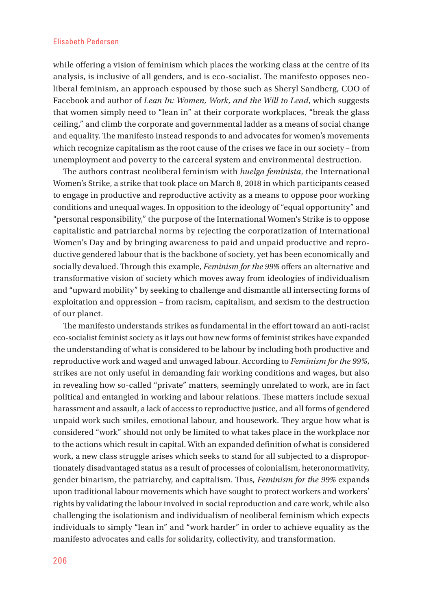## Elisabeth Pedersen

while offering a vision of feminism which places the working class at the centre of its analysis, is inclusive of all genders, and is eco-socialist. The manifesto opposes neoliberal feminism, an approach espoused by those such as Sheryl Sandberg, COO of Facebook and author of *Lean In: Women, Work, and the Will to Lead*, which suggests that women simply need to "lean in" at their corporate workplaces, "break the glass ceiling," and climb the corporate and governmental ladder as a means of social change and equality. The manifesto instead responds to and advocates for women's movements which recognize capitalism as the root cause of the crises we face in our society – from unemployment and poverty to the carceral system and environmental destruction.

The authors contrast neoliberal feminism with *huelga feminista*, the International Women's Strike, a strike that took place on March 8, 2018 in which participants ceased to engage in productive and reproductive activity as a means to oppose poor working conditions and unequal wages. In opposition to the ideology of "equal opportunity" and "personal responsibility," the purpose of the International Women's Strike is to oppose capitalistic and patriarchal norms by rejecting the corporatization of International Women's Day and by bringing awareness to paid and unpaid productive and reproductive gendered labour that is the backbone of society, yet has been economically and socially devalued. Through this example, *Feminism for the 99%* offers an alternative and transformative vision of society which moves away from ideologies of individualism and "upward mobility" by seeking to challenge and dismantle all intersecting forms of exploitation and oppression – from racism, capitalism, and sexism to the destruction of our planet.

The manifesto understands strikes as fundamental in the effort toward an anti-racist eco-socialist feminist society as it lays out how new forms of feminist strikes have expanded the understanding of what is considered to be labour by including both productive and reproductive work and waged and unwaged labour. According to *Feminism for the 99%*, strikes are not only useful in demanding fair working conditions and wages, but also in revealing how so-called "private" matters, seemingly unrelated to work, are in fact political and entangled in working and labour relations. These matters include sexual harassment and assault, a lack of access to reproductive justice, and all forms of gendered unpaid work such smiles, emotional labour, and housework. They argue how what is considered "work" should not only be limited to what takes place in the workplace nor to the actions which result in capital. With an expanded definition of what is considered work, a new class struggle arises which seeks to stand for all subjected to a disproportionately disadvantaged status as a result of processes of colonialism, heteronormativity, gender binarism, the patriarchy, and capitalism. Thus, *Feminism for the 99%* expands upon traditional labour movements which have sought to protect workers and workers' rights by validating the labour involved in social reproduction and care work, while also challenging the isolationism and individualism of neoliberal feminism which expects individuals to simply "lean in" and "work harder" in order to achieve equality as the manifesto advocates and calls for solidarity, collectivity, and transformation.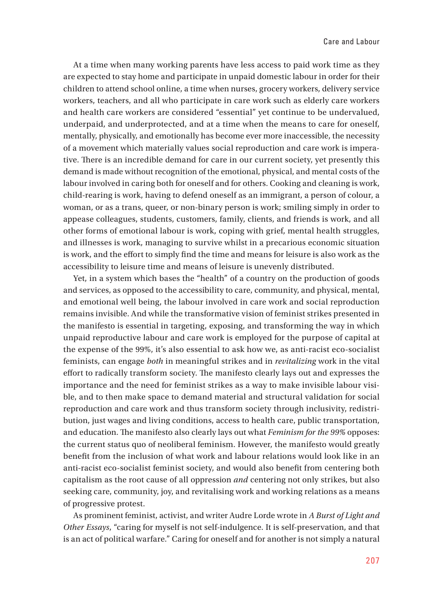At a time when many working parents have less access to paid work time as they are expected to stay home and participate in unpaid domestic labour in order for their children to attend school online, a time when nurses, grocery workers, delivery service workers, teachers, and all who participate in care work such as elderly care workers and health care workers are considered "essential" yet continue to be undervalued, underpaid, and underprotected, and at a time when the means to care for oneself, mentally, physically, and emotionally has become ever more inaccessible, the necessity of a movement which materially values social reproduction and care work is imperative. There is an incredible demand for care in our current society, yet presently this demand is made without recognition of the emotional, physical, and mental costs of the labour involved in caring both for oneself and for others. Cooking and cleaning is work, child-rearing is work, having to defend oneself as an immigrant, a person of colour, a woman, or as a trans, queer, or non-binary person is work; smiling simply in order to appease colleagues, students, customers, family, clients, and friends is work, and all other forms of emotional labour is work, coping with grief, mental health struggles, and illnesses is work, managing to survive whilst in a precarious economic situation is work, and the effort to simply find the time and means for leisure is also work as the accessibility to leisure time and means of leisure is unevenly distributed.

Yet, in a system which bases the "health" of a country on the production of goods and services, as opposed to the accessibility to care, community, and physical, mental, and emotional well being, the labour involved in care work and social reproduction remains invisible. And while the transformative vision of feminist strikes presented in the manifesto is essential in targeting, exposing, and transforming the way in which unpaid reproductive labour and care work is employed for the purpose of capital at the expense of the 99%, it's also essential to ask how we, as anti-racist eco-socialist feminists, can engage *both* in meaningful strikes and in *revitalizing* work in the vital effort to radically transform society. The manifesto clearly lays out and expresses the importance and the need for feminist strikes as a way to make invisible labour visible, and to then make space to demand material and structural validation for social reproduction and care work and thus transform society through inclusivity, redistribution, just wages and living conditions, access to health care, public transportation, and education. The manifesto also clearly lays out what *Feminism for the 99%* opposes: the current status quo of neoliberal feminism. However, the manifesto would greatly benefit from the inclusion of what work and labour relations would look like in an anti-racist eco-socialist feminist society, and would also benefit from centering both capitalism as the root cause of all oppression *and* centering not only strikes, but also seeking care, community, joy, and revitalising work and working relations as a means of progressive protest.

As prominent feminist, activist, and writer Audre Lorde wrote in *A Burst of Light and Other Essays*, "caring for myself is not self-indulgence. It is self-preservation, and that is an act of political warfare." Caring for oneself and for another is not simply a natural